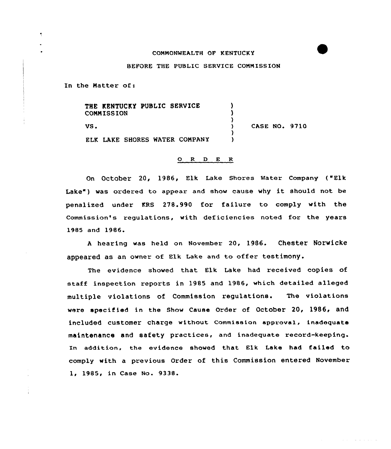## COMMONWEALTH OF KENTUCKY

## BEFORE THE PUBLIC SERVICE COMMISSION

In the Natter of:

THE KENTUCKY PUBLIC SERVICE ) **COMMISSION** )  $\left\{ \right.$ CASE NO. 9710 VS. ) ELK LAKE SHORES WATER CONPANY )

## O R D E R

On October 20, 1986, Elk Lake Shores Water Company ("Elk Lake") was ordered to appear and show cause why it should not be penalized under KRS 278.990 for failure to comply with the Commission's regulations, with deficiencies noted for the years 1985 and 1986.

<sup>A</sup> hearing vas held on November 20, 1986. Chester Norwicke appeared as an owner of Elk Lake and to offer testimony.

The evidence shoved that Elk Lake had received copies of staff inspection reports in 1985 and 1986, which detailed alleged multiple violations of Commission regulations. The violations were specified in the Show Cause Order of October 20, 1986, and included customer charge without commission approval, inadequate maintenance and safety practices, and inadequate record-keeping. In addition, the evidence shoved that Elk Lake had failed to comply with a previous Order of this Commission entered November 1, 1985, in Case No. 9338.

and the state of the state of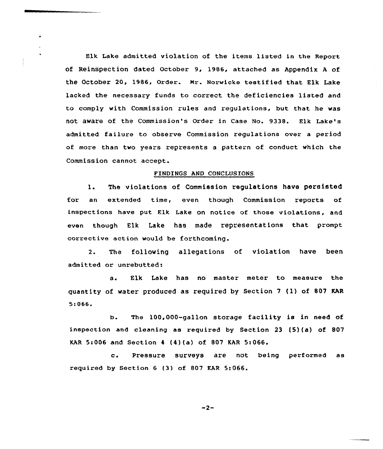Elk Lake admitted violation of the items listed in the Report of Reinspection dated Qctcber 9, 1986, attached as Appendix <sup>A</sup> of the October 20, 1986, Order. Mr. Norwicke testified that Elk lake lacked the necessary funds to correct the deficiencies listed and to comply with Commission rules and regulations, but that he was not aware of the Commission's Order in Case No. 9338. Elk Lake's admitted failure to observe Commission regulations over a period of more than two years represents a pattern of conduct which the Commission cannot accept.

## FINDINGS AND CONCLUSIONS

l. The violations of Commission regulations have persisted for an extended time, even though Commission reports of inspections have put Elk Lake on notice of those violations, and even though Elk Lake has made representations that prompt corrective action would be forthcoming.

2. The following allegations of violation have been admitted or unrebutted:

a. Elk Lake has no master meter to measure the quantity of water produced as required by Section <sup>7</sup> (l) of 807 KAR s:oee.

b. The 1DO,OOO-gallon storage facility is in need of inspection and cleaning as required by Section <sup>23</sup> {5){a) of 807 KAR 5:OD6 and Section <sup>4</sup> (4)(a) of 807 KAR 5:066.

c. Pressure surveys are not being performed as required by Section 6 (3) of 807 KAR 5:066.

 $-2-$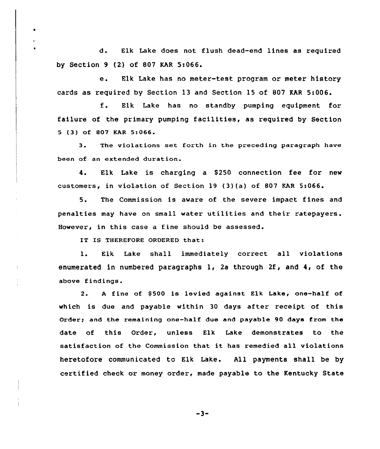d. Elk Lake does not flush dead-end lines as required by Section 9 (2) of 807 KAR 5:066.

e. Elk Lake has no meter-test program or meter history cards as zequired by Section 13 and Section 15 of 807 KAR 5:006.

f. Elk Lake has no standby pumping equipment for failuze of the primary pumping facilities, as required by Section <sup>5</sup> (3) of 807 KAR 5:066

3. The violations set forth in the preceding paragraph have been of an extended duration.

4. Elk Lake is charging a S250 connection fee for new customers, in violation of Section l9 (3)(a) of 807 KAR 5:066.

5. The Commission is aware of the seveze impact fines and penalties may have on small water utilities and their ratepayers. However, in this case a fine should be assessed.

IT IS THEREFORE ORDERED that:

 $\bullet$ 

l. Elk Lake shall immediately correct all violations enumerated in numbezed paragraphs 1, 2a through 2f, and 4, of the above findings.

2. A fine of \$500 is levied against Elk Lake, one-half of which is due and payable within 30 days after receipt of this Order; and the remaining one-half due and payable 90 days from the date of this Order, unless Elk Lake demonstrates to the satisfaction of the Commission that it has remedied all violations heretofore communicated to Elk Lake. All payments shall be by certified check or money order, made payable to the Kentucky State

 $-3-$